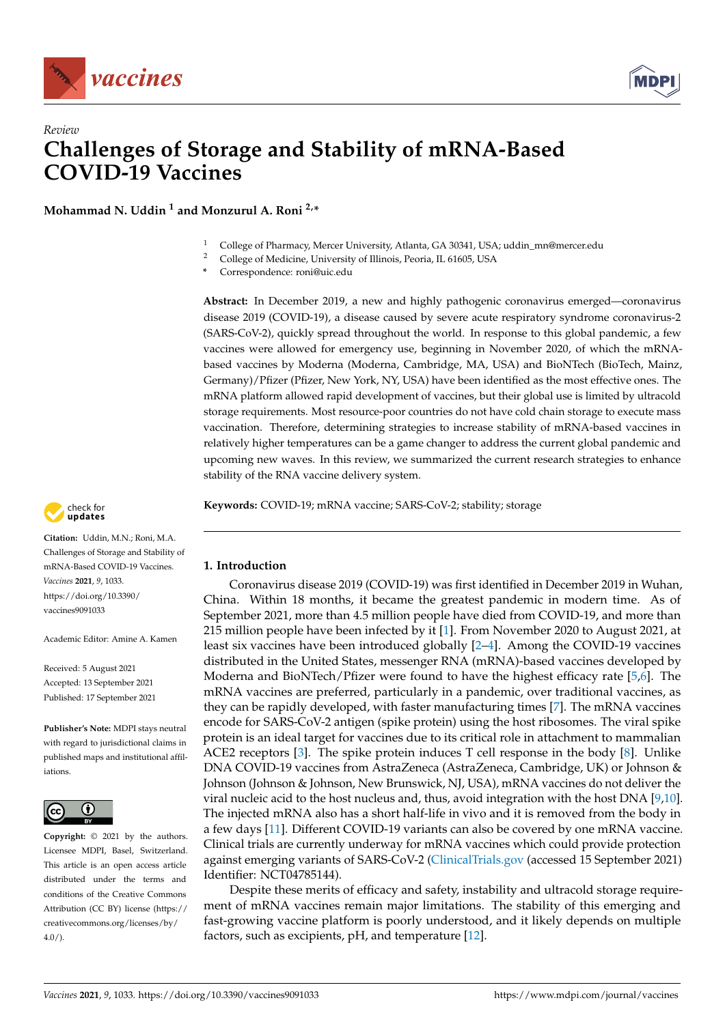



# *Review* **Challenges of Storage and Stability of mRNA-Based COVID-19 Vaccines**

**Mohammad N. Uddin <sup>1</sup> and Monzurul A. Roni 2,\***

- <sup>1</sup> College of Pharmacy, Mercer University, Atlanta, GA 30341, USA; uddin\_mn@mercer.edu<br><sup>2</sup> College of Medicine, University of Illinois, Peoria, II, 61605, USA
- <sup>2</sup> College of Medicine, University of Illinois, Peoria, IL 61605, USA
- **\*** Correspondence: roni@uic.edu

**Abstract:** In December 2019, a new and highly pathogenic coronavirus emerged—coronavirus disease 2019 (COVID-19), a disease caused by severe acute respiratory syndrome coronavirus-2 (SARS-CoV-2), quickly spread throughout the world. In response to this global pandemic, a few vaccines were allowed for emergency use, beginning in November 2020, of which the mRNAbased vaccines by Moderna (Moderna, Cambridge, MA, USA) and BioNTech (BioTech, Mainz, Germany)/Pfizer (Pfizer, New York, NY, USA) have been identified as the most effective ones. The mRNA platform allowed rapid development of vaccines, but their global use is limited by ultracold storage requirements. Most resource-poor countries do not have cold chain storage to execute mass vaccination. Therefore, determining strategies to increase stability of mRNA-based vaccines in relatively higher temperatures can be a game changer to address the current global pandemic and upcoming new waves. In this review, we summarized the current research strategies to enhance stability of the RNA vaccine delivery system.

**Keywords:** COVID-19; mRNA vaccine; SARS-CoV-2; stability; storage



**Citation:** Uddin, M.N.; Roni, M.A. Challenges of Storage and Stability of mRNA-Based COVID-19 Vaccines. *Vaccines* **2021**, *9*, 1033. [https://doi.org/10.3390/](https://doi.org/10.3390/vaccines9091033) [vaccines9091033](https://doi.org/10.3390/vaccines9091033)

Academic Editor: Amine A. Kamen

Received: 5 August 2021 Accepted: 13 September 2021 Published: 17 September 2021

**Publisher's Note:** MDPI stays neutral with regard to jurisdictional claims in published maps and institutional affiliations.



**Copyright:** © 2021 by the authors. Licensee MDPI, Basel, Switzerland. This article is an open access article distributed under the terms and conditions of the Creative Commons Attribution (CC BY) license (https:/[/](https://creativecommons.org/licenses/by/4.0/) [creativecommons.org/licenses/by/](https://creativecommons.org/licenses/by/4.0/)  $4.0/$ ).

## **1. Introduction**

Coronavirus disease 2019 (COVID-19) was first identified in December 2019 in Wuhan, China. Within 18 months, it became the greatest pandemic in modern time. As of September 2021, more than 4.5 million people have died from COVID-19, and more than 215 million people have been infected by it [\[1\]](#page-6-0). From November 2020 to August 2021, at least six vaccines have been introduced globally [\[2–](#page-6-1)[4\]](#page-6-2). Among the COVID-19 vaccines distributed in the United States, messenger RNA (mRNA)-based vaccines developed by Moderna and BioNTech/Pfizer were found to have the highest efficacy rate [\[5,](#page-6-3)[6\]](#page-6-4). The mRNA vaccines are preferred, particularly in a pandemic, over traditional vaccines, as they can be rapidly developed, with faster manufacturing times [\[7\]](#page-7-0). The mRNA vaccines encode for SARS-CoV-2 antigen (spike protein) using the host ribosomes. The viral spike protein is an ideal target for vaccines due to its critical role in attachment to mammalian ACE2 receptors  $[3]$ . The spike protein induces T cell response in the body  $[8]$ . Unlike DNA COVID-19 vaccines from AstraZeneca (AstraZeneca, Cambridge, UK) or Johnson & Johnson (Johnson & Johnson, New Brunswick, NJ, USA), mRNA vaccines do not deliver the viral nucleic acid to the host nucleus and, thus, avoid integration with the host DNA [\[9](#page-7-2)[,10\]](#page-7-3). The injected mRNA also has a short half-life in vivo and it is removed from the body in a few days [\[11\]](#page-7-4). Different COVID-19 variants can also be covered by one mRNA vaccine. Clinical trials are currently underway for mRNA vaccines which could provide protection against emerging variants of SARS-CoV-2 [\(ClinicalTrials.gov](ClinicalTrials.gov) (accessed 15 September 2021) Identifier: NCT04785144).

Despite these merits of efficacy and safety, instability and ultracold storage requirement of mRNA vaccines remain major limitations. The stability of this emerging and fast-growing vaccine platform is poorly understood, and it likely depends on multiple factors, such as excipients, pH, and temperature [\[12\]](#page-7-5).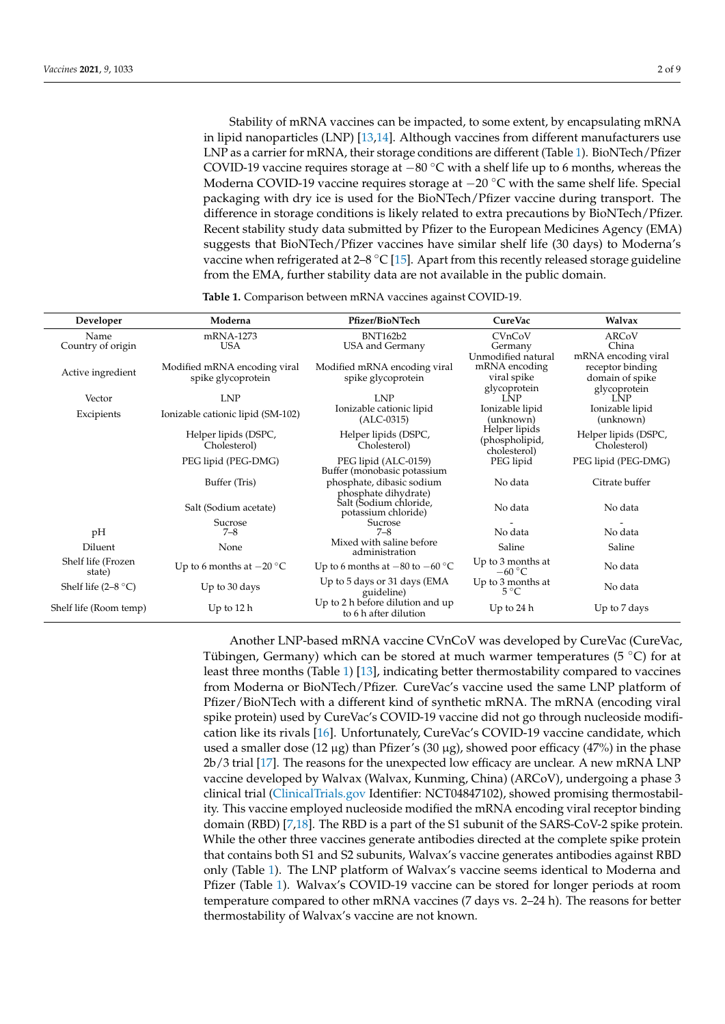Stability of mRNA vaccines can be impacted, to some extent, by encapsulating mRNA in lipid nanoparticles (LNP) [\[13,](#page-7-6)[14\]](#page-7-7). Although vaccines from different manufacturers use LNP as a carrier for mRNA, their storage conditions are different (Table [1\)](#page-1-0). BioNTech/Pfizer COVID-19 vaccine requires storage at  $-80$  °C with a shelf life up to 6 months, whereas the Moderna COVID-19 vaccine requires storage at  $-20$  °C with the same shelf life. Special packaging with dry ice is used for the BioNTech/Pfizer vaccine during transport. The difference in storage conditions is likely related to extra precautions by BioNTech/Pfizer. Recent stability study data submitted by Pfizer to the European Medicines Agency (EMA) suggests that BioNTech/Pfizer vaccines have similar shelf life (30 days) to Moderna's vaccine when refrigerated at  $2-8$  °C [\[15\]](#page-7-8). Apart from this recently released storage guideline from the EMA, further stability data are not available in the public domain.

<span id="page-1-0"></span>

| Developer                    | Moderna                                            | <b>Pfizer/BioNTech</b>                                                | CureVac                                            | Walvax                                                     |
|------------------------------|----------------------------------------------------|-----------------------------------------------------------------------|----------------------------------------------------|------------------------------------------------------------|
| Name                         | mRNA-1273                                          | <b>BNT162b2</b>                                                       | CVnCoV                                             | ARCoV                                                      |
| Country of origin            | <b>USA</b>                                         | USA and Germany                                                       | Germany                                            | China                                                      |
| Active ingredient            | Modified mRNA encoding viral<br>spike glycoprotein | Modified mRNA encoding viral<br>spike glycoprotein                    | Unmodified natural<br>mRNA encoding<br>viral spike | mRNA encoding viral<br>receptor binding<br>domain of spike |
| Vector                       | <b>LNP</b>                                         | <b>LNP</b>                                                            | glycoprotein<br><b>LNP</b>                         | glycoprotein<br>LNP                                        |
| Excipients                   | Ionizable cationic lipid (SM-102)                  | Ionizable cationic lipid<br>$(ALC-0315)$                              | Ionizable lipid<br>(unknown)                       | Ionizable lipid<br>(unknown)                               |
|                              | Helper lipids (DSPC,<br>Cholesterol)               | Helper lipids (DSPC,<br>Cholesterol)                                  | Helper lipids<br>(phospholipid,<br>cholesterol)    | Helper lipids (DSPC,<br>Cholesterol)                       |
|                              | PEG lipid (PEG-DMG)                                | PEG lipid (ALC-0159)<br>Buffer (monobasic potassium                   | PEG lipid                                          | PEG lipid (PEG-DMG)                                        |
|                              | Buffer (Tris)                                      | phosphate, dibasic sodium                                             | No data                                            | Citrate buffer                                             |
|                              | Salt (Sodium acetate)                              | phosphate dihydrate)<br>Salt (Sodium chloride,<br>potassium chloride) | No data                                            | No data                                                    |
| pH                           | Sucrose<br>$7 - 8$                                 | Sucrose<br>$7 - 8$                                                    | No data                                            | No data                                                    |
| Diluent                      | None                                               | Mixed with saline before<br>administration                            | Saline                                             | Saline                                                     |
| Shelf life (Frozen<br>state) | Up to 6 months at $-20$ °C                         | Up to 6 months at $-80$ to $-60$ °C                                   | Up to 3 months at<br>$-60 °C$                      | No data                                                    |
| Shelf life $(2-8 °C)$        | Up to 30 days                                      | Up to 5 days or 31 days (EMA<br>guideline)                            | Up to 3 months at<br>$5^{\circ}C$                  | No data                                                    |
| Shelf life (Room temp)       | Up to $12h$                                        | Up to 2 h before dilution and up<br>to 6 h after dilution             | Up to $24h$                                        | Up to 7 days                                               |

**Table 1.** Comparison between mRNA vaccines against COVID-19.

Another LNP-based mRNA vaccine CVnCoV was developed by CureVac (CureVac, Tübingen, Germany) which can be stored at much warmer temperatures (5  $\degree$ C) for at least three months (Table [1\)](#page-1-0) [\[13\]](#page-7-6), indicating better thermostability compared to vaccines from Moderna or BioNTech/Pfizer. CureVac's vaccine used the same LNP platform of Pfizer/BioNTech with a different kind of synthetic mRNA. The mRNA (encoding viral spike protein) used by CureVac's COVID-19 vaccine did not go through nucleoside modification like its rivals [\[16\]](#page-7-9). Unfortunately, CureVac's COVID-19 vaccine candidate, which used a smaller dose (12  $\mu$ g) than Pfizer's (30  $\mu$ g), showed poor efficacy (47%) in the phase 2b/3 trial [\[17\]](#page-7-10). The reasons for the unexpected low efficacy are unclear. A new mRNA LNP vaccine developed by Walvax (Walvax, Kunming, China) (ARCoV), undergoing a phase 3 clinical trial [\(ClinicalTrials.gov](ClinicalTrials.gov) Identifier: NCT04847102), showed promising thermostability. This vaccine employed nucleoside modified the mRNA encoding viral receptor binding domain (RBD) [\[7,](#page-7-0)[18\]](#page-7-11). The RBD is a part of the S1 subunit of the SARS-CoV-2 spike protein. While the other three vaccines generate antibodies directed at the complete spike protein that contains both S1 and S2 subunits, Walvax's vaccine generates antibodies against RBD only (Table [1\)](#page-1-0). The LNP platform of Walvax's vaccine seems identical to Moderna and Pfizer (Table [1\)](#page-1-0). Walvax's COVID-19 vaccine can be stored for longer periods at room temperature compared to other mRNA vaccines (7 days vs. 2–24 h). The reasons for better thermostability of Walvax's vaccine are not known.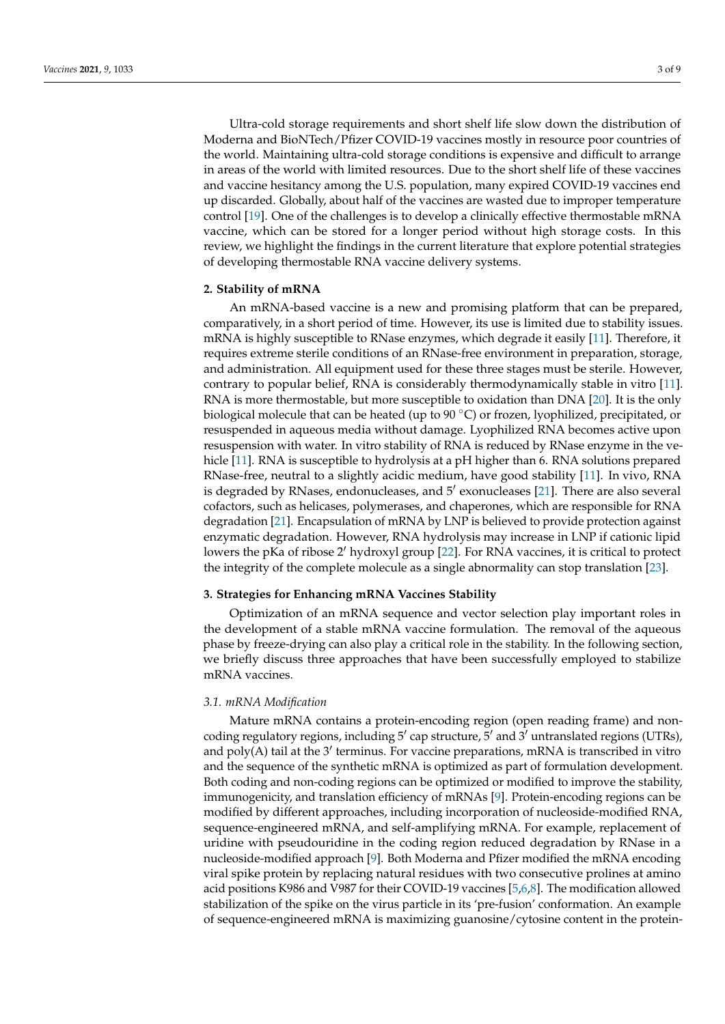Ultra-cold storage requirements and short shelf life slow down the distribution of Moderna and BioNTech/Pfizer COVID-19 vaccines mostly in resource poor countries of the world. Maintaining ultra-cold storage conditions is expensive and difficult to arrange in areas of the world with limited resources. Due to the short shelf life of these vaccines and vaccine hesitancy among the U.S. population, many expired COVID-19 vaccines end up discarded. Globally, about half of the vaccines are wasted due to improper temperature control [\[19\]](#page-7-12). One of the challenges is to develop a clinically effective thermostable mRNA vaccine, which can be stored for a longer period without high storage costs. In this review, we highlight the findings in the current literature that explore potential strategies of developing thermostable RNA vaccine delivery systems.

## **2. Stability of mRNA**

An mRNA-based vaccine is a new and promising platform that can be prepared, comparatively, in a short period of time. However, its use is limited due to stability issues. mRNA is highly susceptible to RNase enzymes, which degrade it easily [\[11\]](#page-7-4). Therefore, it requires extreme sterile conditions of an RNase-free environment in preparation, storage, and administration. All equipment used for these three stages must be sterile. However, contrary to popular belief, RNA is considerably thermodynamically stable in vitro [\[11\]](#page-7-4). RNA is more thermostable, but more susceptible to oxidation than DNA [\[20\]](#page-7-13). It is the only biological molecule that can be heated (up to  $90^{\circ}$ C) or frozen, lyophilized, precipitated, or resuspended in aqueous media without damage. Lyophilized RNA becomes active upon resuspension with water. In vitro stability of RNA is reduced by RNase enzyme in the ve-hicle [\[11\]](#page-7-4). RNA is susceptible to hydrolysis at a pH higher than 6. RNA solutions prepared RNase-free, neutral to a slightly acidic medium, have good stability [\[11\]](#page-7-4). In vivo, RNA is degraded by RNases, endonucleases, and 5' exonucleases [\[21\]](#page-7-14). There are also several cofactors, such as helicases, polymerases, and chaperones, which are responsible for RNA degradation [\[21\]](#page-7-14). Encapsulation of mRNA by LNP is believed to provide protection against enzymatic degradation. However, RNA hydrolysis may increase in LNP if cationic lipid lowers the pKa of ribose  $2'$  hydroxyl group [\[22\]](#page-7-15). For RNA vaccines, it is critical to protect the integrity of the complete molecule as a single abnormality can stop translation [\[23\]](#page-7-16).

#### **3. Strategies for Enhancing mRNA Vaccines Stability**

Optimization of an mRNA sequence and vector selection play important roles in the development of a stable mRNA vaccine formulation. The removal of the aqueous phase by freeze-drying can also play a critical role in the stability. In the following section, we briefly discuss three approaches that have been successfully employed to stabilize mRNA vaccines.

#### *3.1. mRNA Modification*

Mature mRNA contains a protein-encoding region (open reading frame) and noncoding regulatory regions, including  $5'$  cap structure,  $\bar{5}'$  and  $\bar{3}'$  untranslated regions (UTRs), and poly(A) tail at the 3' terminus. For vaccine preparations, mRNA is transcribed in vitro and the sequence of the synthetic mRNA is optimized as part of formulation development. Both coding and non-coding regions can be optimized or modified to improve the stability, immunogenicity, and translation efficiency of mRNAs [\[9\]](#page-7-2). Protein-encoding regions can be modified by different approaches, including incorporation of nucleoside-modified RNA, sequence-engineered mRNA, and self-amplifying mRNA. For example, replacement of uridine with pseudouridine in the coding region reduced degradation by RNase in a nucleoside-modified approach [\[9\]](#page-7-2). Both Moderna and Pfizer modified the mRNA encoding viral spike protein by replacing natural residues with two consecutive prolines at amino acid positions K986 and V987 for their COVID-19 vaccines [\[5](#page-6-3)[,6,](#page-6-4)[8\]](#page-7-1). The modification allowed stabilization of the spike on the virus particle in its 'pre-fusion' conformation. An example of sequence-engineered mRNA is maximizing guanosine/cytosine content in the protein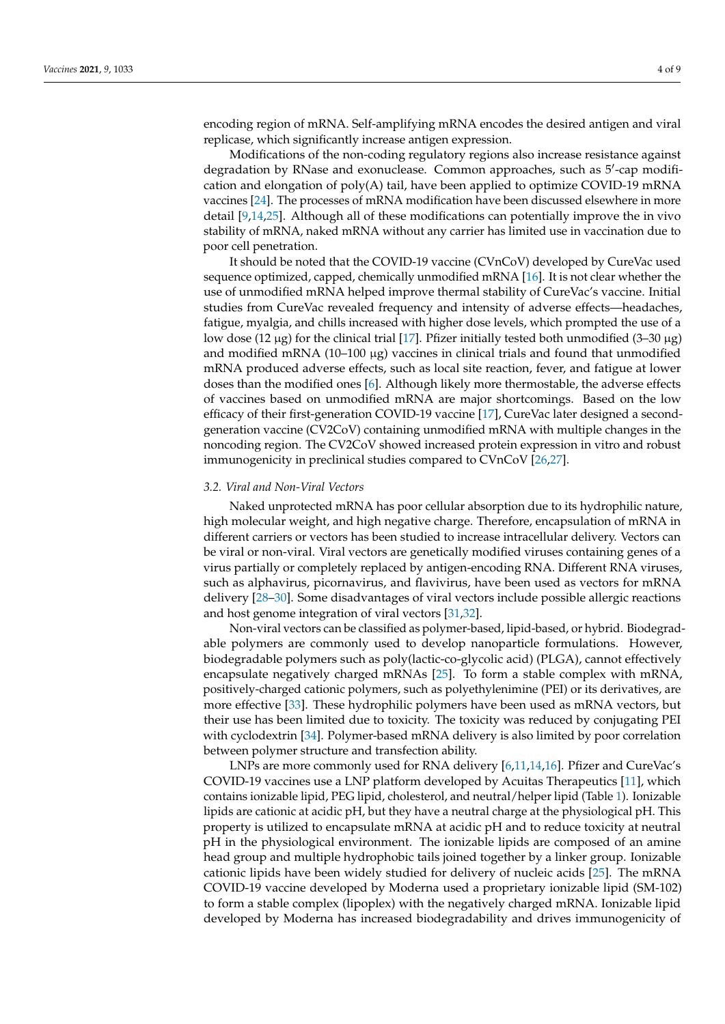encoding region of mRNA. Self-amplifying mRNA encodes the desired antigen and viral replicase, which significantly increase antigen expression.

Modifications of the non-coding regulatory regions also increase resistance against degradation by RNase and exonuclease. Common approaches, such as 5'-cap modification and elongation of poly(A) tail, have been applied to optimize COVID-19 mRNA vaccines [\[24\]](#page-7-17). The processes of mRNA modification have been discussed elsewhere in more detail [\[9](#page-7-2)[,14](#page-7-7)[,25\]](#page-7-18). Although all of these modifications can potentially improve the in vivo stability of mRNA, naked mRNA without any carrier has limited use in vaccination due to poor cell penetration.

It should be noted that the COVID-19 vaccine (CVnCoV) developed by CureVac used sequence optimized, capped, chemically unmodified mRNA [\[16\]](#page-7-9). It is not clear whether the use of unmodified mRNA helped improve thermal stability of CureVac's vaccine. Initial studies from CureVac revealed frequency and intensity of adverse effects—headaches, fatigue, myalgia, and chills increased with higher dose levels, which prompted the use of a low dose (12  $\mu$ g) for the clinical trial [\[17\]](#page-7-10). Pfizer initially tested both unmodified (3–30  $\mu$ g) and modified mRNA  $(10-100 \mu g)$  vaccines in clinical trials and found that unmodified mRNA produced adverse effects, such as local site reaction, fever, and fatigue at lower doses than the modified ones [\[6\]](#page-6-4). Although likely more thermostable, the adverse effects of vaccines based on unmodified mRNA are major shortcomings. Based on the low efficacy of their first-generation COVID-19 vaccine [\[17\]](#page-7-10), CureVac later designed a secondgeneration vaccine (CV2CoV) containing unmodified mRNA with multiple changes in the noncoding region. The CV2CoV showed increased protein expression in vitro and robust immunogenicity in preclinical studies compared to CVnCoV [\[26](#page-7-19)[,27\]](#page-7-20).

## *3.2. Viral and Non-Viral Vectors*

Naked unprotected mRNA has poor cellular absorption due to its hydrophilic nature, high molecular weight, and high negative charge. Therefore, encapsulation of mRNA in different carriers or vectors has been studied to increase intracellular delivery. Vectors can be viral or non-viral. Viral vectors are genetically modified viruses containing genes of a virus partially or completely replaced by antigen-encoding RNA. Different RNA viruses, such as alphavirus, picornavirus, and flavivirus, have been used as vectors for mRNA delivery [\[28](#page-7-21)[–30\]](#page-7-22). Some disadvantages of viral vectors include possible allergic reactions and host genome integration of viral vectors [\[31](#page-7-23)[,32\]](#page-7-24).

Non-viral vectors can be classified as polymer-based, lipid-based, or hybrid. Biodegradable polymers are commonly used to develop nanoparticle formulations. However, biodegradable polymers such as poly(lactic-co-glycolic acid) (PLGA), cannot effectively encapsulate negatively charged mRNAs [\[25\]](#page-7-18). To form a stable complex with mRNA, positively-charged cationic polymers, such as polyethylenimine (PEI) or its derivatives, are more effective [\[33\]](#page-7-25). These hydrophilic polymers have been used as mRNA vectors, but their use has been limited due to toxicity. The toxicity was reduced by conjugating PEI with cyclodextrin [\[34\]](#page-7-26). Polymer-based mRNA delivery is also limited by poor correlation between polymer structure and transfection ability.

LNPs are more commonly used for RNA delivery [\[6,](#page-6-4)[11,](#page-7-4)[14,](#page-7-7)[16\]](#page-7-9). Pfizer and CureVac's COVID-19 vaccines use a LNP platform developed by Acuitas Therapeutics [\[11\]](#page-7-4), which contains ionizable lipid, PEG lipid, cholesterol, and neutral/helper lipid (Table [1\)](#page-1-0). Ionizable lipids are cationic at acidic pH, but they have a neutral charge at the physiological pH. This property is utilized to encapsulate mRNA at acidic pH and to reduce toxicity at neutral pH in the physiological environment. The ionizable lipids are composed of an amine head group and multiple hydrophobic tails joined together by a linker group. Ionizable cationic lipids have been widely studied for delivery of nucleic acids [\[25\]](#page-7-18). The mRNA COVID-19 vaccine developed by Moderna used a proprietary ionizable lipid (SM-102) to form a stable complex (lipoplex) with the negatively charged mRNA. Ionizable lipid developed by Moderna has increased biodegradability and drives immunogenicity of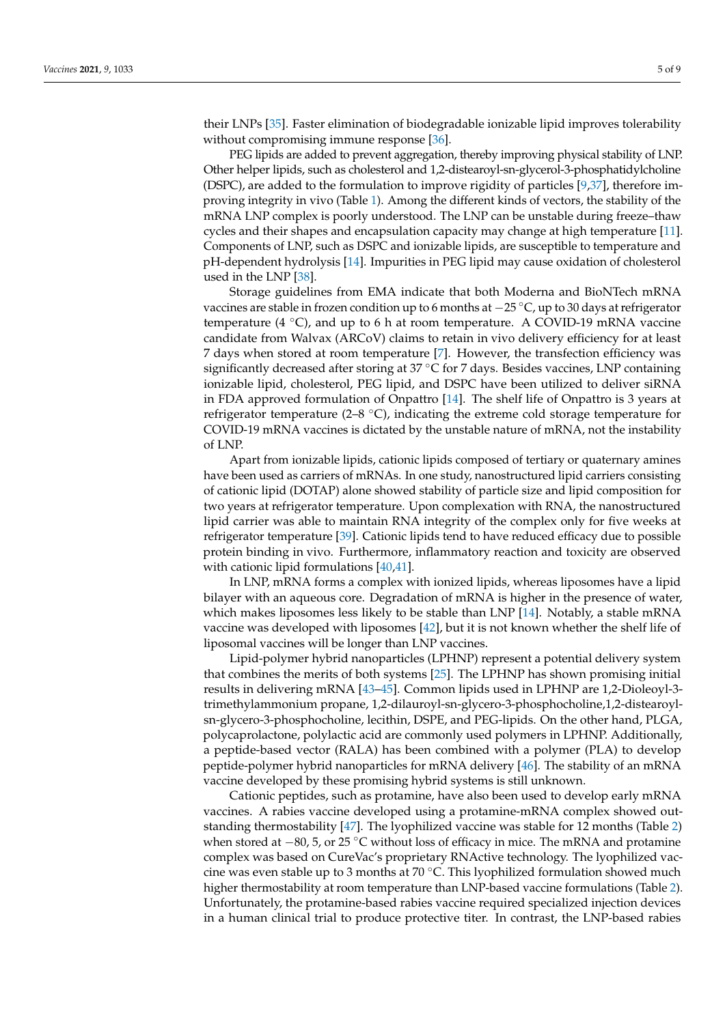their LNPs [\[35\]](#page-7-27). Faster elimination of biodegradable ionizable lipid improves tolerability without compromising immune response [\[36\]](#page-7-28).

PEG lipids are added to prevent aggregation, thereby improving physical stability of LNP. Other helper lipids, such as cholesterol and 1,2-distearoyl-sn-glycerol-3-phosphatidylcholine (DSPC), are added to the formulation to improve rigidity of particles [\[9,](#page-7-2)[37\]](#page-7-29), therefore improving integrity in vivo (Table [1\)](#page-1-0). Among the different kinds of vectors, the stability of the mRNA LNP complex is poorly understood. The LNP can be unstable during freeze–thaw cycles and their shapes and encapsulation capacity may change at high temperature [\[11\]](#page-7-4). Components of LNP, such as DSPC and ionizable lipids, are susceptible to temperature and pH-dependent hydrolysis [\[14\]](#page-7-7). Impurities in PEG lipid may cause oxidation of cholesterol used in the LNP [\[38\]](#page-8-0).

Storage guidelines from EMA indicate that both Moderna and BioNTech mRNA vaccines are stable in frozen condition up to 6 months at −25 ◦C, up to 30 days at refrigerator temperature (4  $\degree$ C), and up to 6 h at room temperature. A COVID-19 mRNA vaccine candidate from Walvax (ARCoV) claims to retain in vivo delivery efficiency for at least 7 days when stored at room temperature [\[7\]](#page-7-0). However, the transfection efficiency was significantly decreased after storing at 37 °C for 7 days. Besides vaccines, LNP containing ionizable lipid, cholesterol, PEG lipid, and DSPC have been utilized to deliver siRNA in FDA approved formulation of Onpattro [\[14\]](#page-7-7). The shelf life of Onpattro is 3 years at refrigerator temperature (2–8  $\degree$ C), indicating the extreme cold storage temperature for COVID-19 mRNA vaccines is dictated by the unstable nature of mRNA, not the instability of LNP.

Apart from ionizable lipids, cationic lipids composed of tertiary or quaternary amines have been used as carriers of mRNAs. In one study, nanostructured lipid carriers consisting of cationic lipid (DOTAP) alone showed stability of particle size and lipid composition for two years at refrigerator temperature. Upon complexation with RNA, the nanostructured lipid carrier was able to maintain RNA integrity of the complex only for five weeks at refrigerator temperature [\[39\]](#page-8-1). Cationic lipids tend to have reduced efficacy due to possible protein binding in vivo. Furthermore, inflammatory reaction and toxicity are observed with cationic lipid formulations [\[40,](#page-8-2)[41\]](#page-8-3).

In LNP, mRNA forms a complex with ionized lipids, whereas liposomes have a lipid bilayer with an aqueous core. Degradation of mRNA is higher in the presence of water, which makes liposomes less likely to be stable than LNP [\[14\]](#page-7-7). Notably, a stable mRNA vaccine was developed with liposomes [\[42\]](#page-8-4), but it is not known whether the shelf life of liposomal vaccines will be longer than LNP vaccines.

Lipid-polymer hybrid nanoparticles (LPHNP) represent a potential delivery system that combines the merits of both systems [\[25\]](#page-7-18). The LPHNP has shown promising initial results in delivering mRNA [\[43–](#page-8-5)[45\]](#page-8-6). Common lipids used in LPHNP are 1,2-Dioleoyl-3 trimethylammonium propane, 1,2-dilauroyl-sn-glycero-3-phosphocholine,1,2-distearoylsn-glycero-3-phosphocholine, lecithin, DSPE, and PEG-lipids. On the other hand, PLGA, polycaprolactone, polylactic acid are commonly used polymers in LPHNP. Additionally, a peptide-based vector (RALA) has been combined with a polymer (PLA) to develop peptide-polymer hybrid nanoparticles for mRNA delivery [\[46\]](#page-8-7). The stability of an mRNA vaccine developed by these promising hybrid systems is still unknown.

Cationic peptides, such as protamine, have also been used to develop early mRNA vaccines. A rabies vaccine developed using a protamine-mRNA complex showed outstanding thermostability [\[47\]](#page-8-8). The lyophilized vaccine was stable for 12 months (Table [2\)](#page-5-0) when stored at −80, 5, or 25 °C without loss of efficacy in mice. The mRNA and protamine complex was based on CureVac's proprietary RNActive technology. The lyophilized vaccine was even stable up to 3 months at 70  $°C$ . This lyophilized formulation showed much higher thermostability at room temperature than LNP-based vaccine formulations (Table [2\)](#page-5-0). Unfortunately, the protamine-based rabies vaccine required specialized injection devices in a human clinical trial to produce protective titer. In contrast, the LNP-based rabies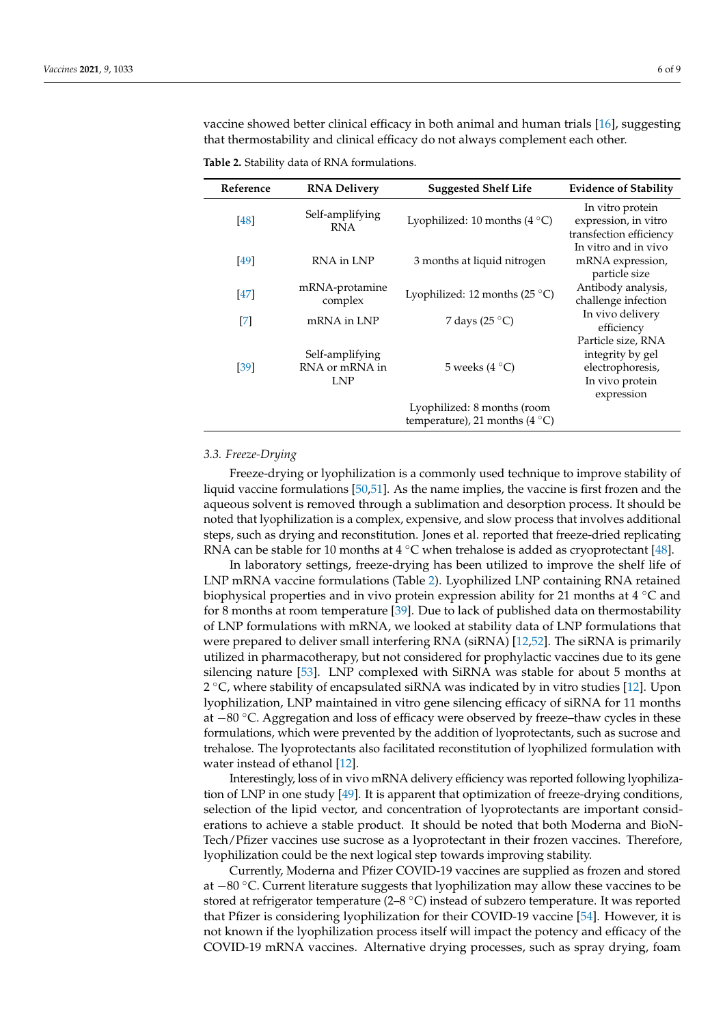vaccine showed better clinical efficacy in both animal and human trials [\[16\]](#page-7-9), suggesting that thermostability and clinical efficacy do not always complement each other.

| Reference                                                                                                                                                                                                                                                                                                                                                                                                                                                                                              | <b>RNA Delivery</b>                             | <b>Suggested Shelf Life</b>                                             | <b>Evidence of Stability</b>                                                                |
|--------------------------------------------------------------------------------------------------------------------------------------------------------------------------------------------------------------------------------------------------------------------------------------------------------------------------------------------------------------------------------------------------------------------------------------------------------------------------------------------------------|-------------------------------------------------|-------------------------------------------------------------------------|---------------------------------------------------------------------------------------------|
| $[48]$                                                                                                                                                                                                                                                                                                                                                                                                                                                                                                 | Self-amplifying<br><b>RNA</b>                   | Lyophilized: 10 months $(4^{\circ}C)$                                   | In vitro protein<br>expression, in vitro<br>transfection efficiency                         |
| [49]                                                                                                                                                                                                                                                                                                                                                                                                                                                                                                   | RNA in LNP                                      | 3 months at liquid nitrogen                                             | In vitro and in vivo<br>mRNA expression,<br>particle size                                   |
| $[47]$                                                                                                                                                                                                                                                                                                                                                                                                                                                                                                 | mRNA-protamine<br>complex                       | Lyophilized: 12 months (25 $^{\circ}$ C)                                | Antibody analysis,<br>challenge infection                                                   |
| $[7] \centering% \includegraphics[width=1\textwidth]{images/TransY.pdf} \caption{The first two different values of $d=3$ and $d=4$ (left) and $d=5$ (right) and $d=6$ (right) and $d=6$ (right) and $d=6$ (right) and $d=6$ (right) and $d=6$ (right) and $d=6$ (right) and $d=6$ (right) and $d=6$ (right) and $d=6$ (right) and $d=6$ (right) and $d=6$ (right) and $d=6$ (right) and $d=6$ (right) and $d=6$ (right) and $d=6$ (right) and $d=6$ (right) and $d=6$ (right) and $d=6$ (right) and $$ | mRNA in LNP                                     | 7 days (25 $^{\circ}$ C)                                                | In vivo delivery<br>efficiency                                                              |
| [39]                                                                                                                                                                                                                                                                                                                                                                                                                                                                                                   | Self-amplifying<br>RNA or mRNA in<br><b>LNP</b> | 5 weeks $(4 °C)$                                                        | Particle size, RNA<br>integrity by gel<br>electrophoresis,<br>In vivo protein<br>expression |
|                                                                                                                                                                                                                                                                                                                                                                                                                                                                                                        |                                                 | Lyophilized: 8 months (room<br>temperature), 21 months (4 $^{\circ}$ C) |                                                                                             |

<span id="page-5-0"></span>**Table 2.** Stability data of RNA formulations.

#### *3.3. Freeze-Drying*

Freeze-drying or lyophilization is a commonly used technique to improve stability of liquid vaccine formulations [\[50](#page-8-11)[,51\]](#page-8-12). As the name implies, the vaccine is first frozen and the aqueous solvent is removed through a sublimation and desorption process. It should be noted that lyophilization is a complex, expensive, and slow process that involves additional steps, such as drying and reconstitution. Jones et al. reported that freeze-dried replicating RNA can be stable for 10 months at 4  $°C$  when trehalose is added as cryoprotectant [\[48\]](#page-8-9).

In laboratory settings, freeze-drying has been utilized to improve the shelf life of LNP mRNA vaccine formulations (Table [2\)](#page-5-0). Lyophilized LNP containing RNA retained biophysical properties and in vivo protein expression ability for 21 months at  $4 °C$  and for 8 months at room temperature [\[39\]](#page-8-1). Due to lack of published data on thermostability of LNP formulations with mRNA, we looked at stability data of LNP formulations that were prepared to deliver small interfering RNA (siRNA) [\[12,](#page-7-5)[52\]](#page-8-13). The siRNA is primarily utilized in pharmacotherapy, but not considered for prophylactic vaccines due to its gene silencing nature [\[53\]](#page-8-14). LNP complexed with SiRNA was stable for about 5 months at 2 ◦C, where stability of encapsulated siRNA was indicated by in vitro studies [\[12\]](#page-7-5). Upon lyophilization, LNP maintained in vitro gene silencing efficacy of siRNA for 11 months at −80 ◦C. Aggregation and loss of efficacy were observed by freeze–thaw cycles in these formulations, which were prevented by the addition of lyoprotectants, such as sucrose and trehalose. The lyoprotectants also facilitated reconstitution of lyophilized formulation with water instead of ethanol [\[12\]](#page-7-5).

Interestingly, loss of in vivo mRNA delivery efficiency was reported following lyophilization of LNP in one study [\[49\]](#page-8-10). It is apparent that optimization of freeze-drying conditions, selection of the lipid vector, and concentration of lyoprotectants are important considerations to achieve a stable product. It should be noted that both Moderna and BioN-Tech/Pfizer vaccines use sucrose as a lyoprotectant in their frozen vaccines. Therefore, lyophilization could be the next logical step towards improving stability.

Currently, Moderna and Pfizer COVID-19 vaccines are supplied as frozen and stored at −80 ◦C. Current literature suggests that lyophilization may allow these vaccines to be stored at refrigerator temperature (2–8 ◦C) instead of subzero temperature. It was reported that Pfizer is considering lyophilization for their COVID-19 vaccine [\[54\]](#page-8-15). However, it is not known if the lyophilization process itself will impact the potency and efficacy of the COVID-19 mRNA vaccines. Alternative drying processes, such as spray drying, foam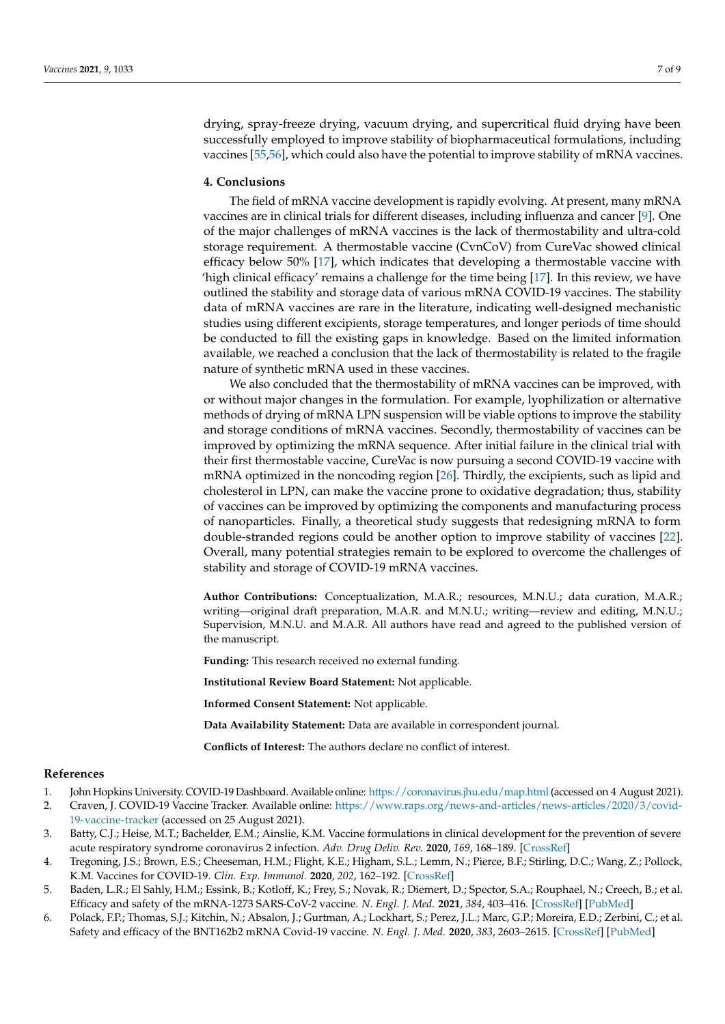drying, spray-freeze drying, vacuum drying, and supercritical fluid drying have been successfully employed to improve stability of biopharmaceutical formulations, including vaccines [\[55,](#page-8-16)[56\]](#page-8-17), which could also have the potential to improve stability of mRNA vaccines.

### **4. Conclusions**

The field of mRNA vaccine development is rapidly evolving. At present, many mRNA vaccines are in clinical trials for different diseases, including influenza and cancer [\[9\]](#page-7-2). One of the major challenges of mRNA vaccines is the lack of thermostability and ultra-cold storage requirement. A thermostable vaccine (CvnCoV) from CureVac showed clinical efficacy below 50% [\[17\]](#page-7-10), which indicates that developing a thermostable vaccine with 'high clinical efficacy' remains a challenge for the time being [\[17\]](#page-7-10). In this review, we have outlined the stability and storage data of various mRNA COVID-19 vaccines. The stability data of mRNA vaccines are rare in the literature, indicating well-designed mechanistic studies using different excipients, storage temperatures, and longer periods of time should be conducted to fill the existing gaps in knowledge. Based on the limited information available, we reached a conclusion that the lack of thermostability is related to the fragile nature of synthetic mRNA used in these vaccines.

We also concluded that the thermostability of mRNA vaccines can be improved, with or without major changes in the formulation. For example, lyophilization or alternative methods of drying of mRNA LPN suspension will be viable options to improve the stability and storage conditions of mRNA vaccines. Secondly, thermostability of vaccines can be improved by optimizing the mRNA sequence. After initial failure in the clinical trial with their first thermostable vaccine, CureVac is now pursuing a second COVID-19 vaccine with mRNA optimized in the noncoding region [\[26\]](#page-7-19). Thirdly, the excipients, such as lipid and cholesterol in LPN, can make the vaccine prone to oxidative degradation; thus, stability of vaccines can be improved by optimizing the components and manufacturing process of nanoparticles. Finally, a theoretical study suggests that redesigning mRNA to form double-stranded regions could be another option to improve stability of vaccines [\[22\]](#page-7-15). Overall, many potential strategies remain to be explored to overcome the challenges of stability and storage of COVID-19 mRNA vaccines.

**Author Contributions:** Conceptualization, M.A.R.; resources, M.N.U.; data curation, M.A.R.; writing—original draft preparation, M.A.R. and M.N.U.; writing—review and editing, M.N.U.; Supervision, M.N.U. and M.A.R. All authors have read and agreed to the published version of the manuscript.

**Funding:** This research received no external funding.

**Institutional Review Board Statement:** Not applicable.

**Informed Consent Statement:** Not applicable.

**Data Availability Statement:** Data are available in correspondent journal.

**Conflicts of Interest:** The authors declare no conflict of interest.

#### **References**

- <span id="page-6-0"></span>1. John Hopkins University. COVID-19 Dashboard. Available online: <https://coronavirus.jhu.edu/map.html> (accessed on 4 August 2021).
- <span id="page-6-1"></span>2. Craven, J. COVID-19 Vaccine Tracker. Available online: [https://www.raps.org/news-and-articles/news-articles/2020/3/covid-](https://www.raps.org/news-and-articles/news-articles/2020/3/covid-19-vaccine-tracker)[19-vaccine-tracker](https://www.raps.org/news-and-articles/news-articles/2020/3/covid-19-vaccine-tracker) (accessed on 25 August 2021).
- <span id="page-6-5"></span>3. Batty, C.J.; Heise, M.T.; Bachelder, E.M.; Ainslie, K.M. Vaccine formulations in clinical development for the prevention of severe acute respiratory syndrome coronavirus 2 infection. *Adv. Drug Deliv. Rev.* **2020**, *169*, 168–189. [\[CrossRef\]](http://doi.org/10.1016/j.addr.2020.12.006)
- <span id="page-6-2"></span>4. Tregoning, J.S.; Brown, E.S.; Cheeseman, H.M.; Flight, K.E.; Higham, S.L.; Lemm, N.; Pierce, B.F.; Stirling, D.C.; Wang, Z.; Pollock, K.M. Vaccines for COVID-19. *Clin. Exp. Immunol.* **2020**, *202*, 162–192. [\[CrossRef\]](http://doi.org/10.1111/cei.13517)
- <span id="page-6-3"></span>5. Baden, L.R.; El Sahly, H.M.; Essink, B.; Kotloff, K.; Frey, S.; Novak, R.; Diemert, D.; Spector, S.A.; Rouphael, N.; Creech, B.; et al. Efficacy and safety of the mRNA-1273 SARS-CoV-2 vaccine. *N. Engl. J. Med.* **2021**, *384*, 403–416. [\[CrossRef\]](http://doi.org/10.1056/NEJMoa2035389) [\[PubMed\]](http://www.ncbi.nlm.nih.gov/pubmed/33378609)
- <span id="page-6-4"></span>6. Polack, F.P.; Thomas, S.J.; Kitchin, N.; Absalon, J.; Gurtman, A.; Lockhart, S.; Perez, J.L.; Marc, G.P.; Moreira, E.D.; Zerbini, C.; et al. Safety and efficacy of the BNT162b2 mRNA Covid-19 vaccine. *N. Engl. J. Med.* **2020**, *383*, 2603–2615. [\[CrossRef\]](http://doi.org/10.1056/NEJMoa2034577) [\[PubMed\]](http://www.ncbi.nlm.nih.gov/pubmed/33301246)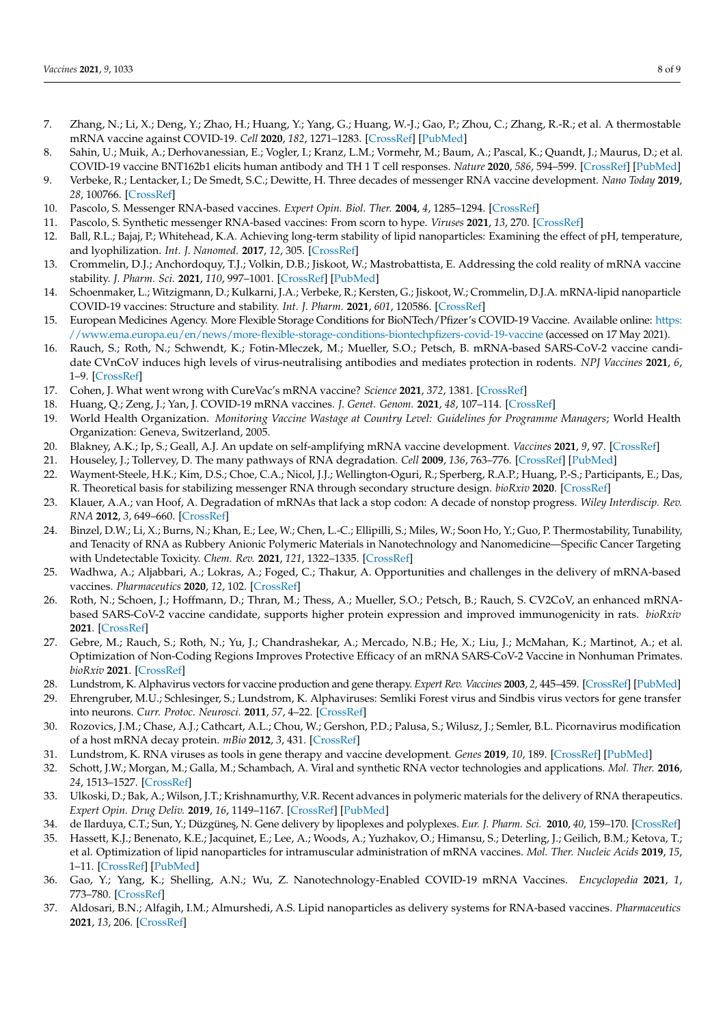- <span id="page-7-0"></span>7. Zhang, N.; Li, X.; Deng, Y.; Zhao, H.; Huang, Y.; Yang, G.; Huang, W.-J.; Gao, P.; Zhou, C.; Zhang, R.-R.; et al. A thermostable mRNA vaccine against COVID-19. *Cell* **2020**, *182*, 1271–1283. [\[CrossRef\]](http://doi.org/10.1016/j.cell.2020.07.024) [\[PubMed\]](http://www.ncbi.nlm.nih.gov/pubmed/32795413)
- <span id="page-7-1"></span>8. Sahin, U.; Muik, A.; Derhovanessian, E.; Vogler, I.; Kranz, L.M.; Vormehr, M.; Baum, A.; Pascal, K.; Quandt, J.; Maurus, D.; et al. COVID-19 vaccine BNT162b1 elicits human antibody and TH 1 T cell responses. *Nature* **2020**, *586*, 594–599. [\[CrossRef\]](http://doi.org/10.1038/s41586-020-2814-7) [\[PubMed\]](http://www.ncbi.nlm.nih.gov/pubmed/32998157)
- <span id="page-7-2"></span>9. Verbeke, R.; Lentacker, I.; De Smedt, S.C.; Dewitte, H. Three decades of messenger RNA vaccine development. *Nano Today* **2019**, *28*, 100766. [\[CrossRef\]](http://doi.org/10.1016/j.nantod.2019.100766)
- <span id="page-7-3"></span>10. Pascolo, S. Messenger RNA-based vaccines. *Expert Opin. Biol. Ther.* **2004**, *4*, 1285–1294. [\[CrossRef\]](http://doi.org/10.1517/14712598.4.8.1285)
- <span id="page-7-4"></span>11. Pascolo, S. Synthetic messenger RNA-based vaccines: From scorn to hype. *Viruses* **2021**, *13*, 270. [\[CrossRef\]](http://doi.org/10.3390/v13020270)
- <span id="page-7-5"></span>12. Ball, R.L.; Bajaj, P.; Whitehead, K.A. Achieving long-term stability of lipid nanoparticles: Examining the effect of pH, temperature, and lyophilization. *Int. J. Nanomed.* **2017**, *12*, 305. [\[CrossRef\]](http://doi.org/10.2147/IJN.S123062)
- <span id="page-7-6"></span>13. Crommelin, D.J.; Anchordoquy, T.J.; Volkin, D.B.; Jiskoot, W.; Mastrobattista, E. Addressing the cold reality of mRNA vaccine stability. *J. Pharm. Sci.* **2021**, *110*, 997–1001. [\[CrossRef\]](http://doi.org/10.1016/j.xphs.2020.12.006) [\[PubMed\]](http://www.ncbi.nlm.nih.gov/pubmed/33321139)
- <span id="page-7-7"></span>14. Schoenmaker, L.; Witzigmann, D.; Kulkarni, J.A.; Verbeke, R.; Kersten, G.; Jiskoot, W.; Crommelin, D.J.A. mRNA-lipid nanoparticle COVID-19 vaccines: Structure and stability. *Int. J. Pharm.* **2021**, *601*, 120586. [\[CrossRef\]](http://doi.org/10.1016/j.ijpharm.2021.120586)
- <span id="page-7-8"></span>15. European Medicines Agency. More Flexible Storage Conditions for BioNTech/Pfizer's COVID-19 Vaccine. Available online: [https:](https://www.ema.europa.eu/en/news/more-flexible-storage-conditions-biontechpfizers-covid-19-vaccine) [//www.ema.europa.eu/en/news/more-flexible-storage-conditions-biontechpfizers-covid-19-vaccine](https://www.ema.europa.eu/en/news/more-flexible-storage-conditions-biontechpfizers-covid-19-vaccine) (accessed on 17 May 2021).
- <span id="page-7-9"></span>16. Rauch, S.; Roth, N.; Schwendt, K.; Fotin-Mleczek, M.; Mueller, S.O.; Petsch, B. mRNA-based SARS-CoV-2 vaccine candidate CVnCoV induces high levels of virus-neutralising antibodies and mediates protection in rodents. *NPJ Vaccines* **2021**, *6*, 1–9. [\[CrossRef\]](http://doi.org/10.1038/s41541-021-00311-w)
- <span id="page-7-10"></span>17. Cohen, J. What went wrong with CureVac's mRNA vaccine? *Science* **2021**, *372*, 1381. [\[CrossRef\]](http://doi.org/10.1126/science.372.6549.1381)
- <span id="page-7-11"></span>18. Huang, Q.; Zeng, J.; Yan, J. COVID-19 mRNA vaccines. *J. Genet. Genom.* **2021**, *48*, 107–114. [\[CrossRef\]](http://doi.org/10.1016/j.jgg.2021.02.006)
- <span id="page-7-12"></span>19. World Health Organization. *Monitoring Vaccine Wastage at Country Level: Guidelines for Programme Managers*; World Health Organization: Geneva, Switzerland, 2005.
- <span id="page-7-13"></span>20. Blakney, A.K.; Ip, S.; Geall, A.J. An update on self-amplifying mRNA vaccine development. *Vaccines* **2021**, *9*, 97. [\[CrossRef\]](http://doi.org/10.3390/vaccines9020097)
- <span id="page-7-14"></span>21. Houseley, J.; Tollervey, D. The many pathways of RNA degradation. *Cell* **2009**, *136*, 763–776. [\[CrossRef\]](http://doi.org/10.1016/j.cell.2009.01.019) [\[PubMed\]](http://www.ncbi.nlm.nih.gov/pubmed/19239894)
- <span id="page-7-15"></span>22. Wayment-Steele, H.K.; Kim, D.S.; Choe, C.A.; Nicol, J.J.; Wellington-Oguri, R.; Sperberg, R.A.P.; Huang, P.-S.; Participants, E.; Das, R. Theoretical basis for stabilizing messenger RNA through secondary structure design. *bioRxiv* **2020**. [\[CrossRef\]](http://doi.org/10.1101/2020.08.22.262931)
- <span id="page-7-16"></span>23. Klauer, A.A.; van Hoof, A. Degradation of mRNAs that lack a stop codon: A decade of nonstop progress. *Wiley Interdiscip. Rev. RNA* **2012**, *3*, 649–660. [\[CrossRef\]](http://doi.org/10.1002/wrna.1124)
- <span id="page-7-17"></span>24. Binzel, D.W.; Li, X.; Burns, N.; Khan, E.; Lee, W.; Chen, L.-C.; Ellipilli, S.; Miles, W.; Soon Ho, Y.; Guo, P. Thermostability, Tunability, and Tenacity of RNA as Rubbery Anionic Polymeric Materials in Nanotechnology and Nanomedicine—Specific Cancer Targeting with Undetectable Toxicity. *Chem. Rev.* **2021**, *121*, 1322–1335. [\[CrossRef\]](http://doi.org/10.1021/acs.chemrev.1c00009)
- <span id="page-7-18"></span>25. Wadhwa, A.; Aljabbari, A.; Lokras, A.; Foged, C.; Thakur, A. Opportunities and challenges in the delivery of mRNA-based vaccines. *Pharmaceutics* **2020**, *12*, 102. [\[CrossRef\]](http://doi.org/10.3390/pharmaceutics12020102)
- <span id="page-7-19"></span>26. Roth, N.; Schoen, J.; Hoffmann, D.; Thran, M.; Thess, A.; Mueller, S.O.; Petsch, B.; Rauch, S. CV2CoV, an enhanced mRNAbased SARS-CoV-2 vaccine candidate, supports higher protein expression and improved immunogenicity in rats. *bioRxiv* **2021**. [\[CrossRef\]](http://doi.org/10.1101/2021.05.13.443734)
- <span id="page-7-20"></span>27. Gebre, M.; Rauch, S.; Roth, N.; Yu, J.; Chandrashekar, A.; Mercado, N.B.; He, X.; Liu, J.; McMahan, K.; Martinot, A.; et al. Optimization of Non-Coding Regions Improves Protective Efficacy of an mRNA SARS-CoV-2 Vaccine in Nonhuman Primates. *bioRxiv* **2021**. [\[CrossRef\]](http://doi.org/10.1101/2021.08.13.456316)
- <span id="page-7-21"></span>28. Lundstrom, K. Alphavirus vectors for vaccine production and gene therapy. *Expert Rev. Vaccines* **2003**, *2*, 445–459. [\[CrossRef\]](http://doi.org/10.1586/14760584.2.3.445) [\[PubMed\]](http://www.ncbi.nlm.nih.gov/pubmed/12903809)
- 29. Ehrengruber, M.U.; Schlesinger, S.; Lundstrom, K. Alphaviruses: Semliki Forest virus and Sindbis virus vectors for gene transfer into neurons. *Curr. Protoc. Neurosci.* **2011**, *57*, 4–22. [\[CrossRef\]](http://doi.org/10.1002/0471142301.ns0422s57)
- <span id="page-7-22"></span>30. Rozovics, J.M.; Chase, A.J.; Cathcart, A.L.; Chou, W.; Gershon, P.D.; Palusa, S.; Wilusz, J.; Semler, B.L. Picornavirus modification of a host mRNA decay protein. *mBio* **2012**, *3*, 431. [\[CrossRef\]](http://doi.org/10.1128/mBio.00431-12)
- <span id="page-7-23"></span>31. Lundstrom, K. RNA viruses as tools in gene therapy and vaccine development. *Genes* **2019**, *10*, 189. [\[CrossRef\]](http://doi.org/10.3390/genes10030189) [\[PubMed\]](http://www.ncbi.nlm.nih.gov/pubmed/30832256)
- <span id="page-7-24"></span>32. Schott, J.W.; Morgan, M.; Galla, M.; Schambach, A. Viral and synthetic RNA vector technologies and applications. *Mol. Ther.* **2016**, *24*, 1513–1527. [\[CrossRef\]](http://doi.org/10.1038/mt.2016.143)
- <span id="page-7-25"></span>33. Ulkoski, D.; Bak, A.; Wilson, J.T.; Krishnamurthy, V.R. Recent advances in polymeric materials for the delivery of RNA therapeutics. *Expert Opin. Drug Deliv.* **2019**, *16*, 1149–1167. [\[CrossRef\]](http://doi.org/10.1080/17425247.2019.1663822) [\[PubMed\]](http://www.ncbi.nlm.nih.gov/pubmed/31498013)
- <span id="page-7-26"></span>34. de Ilarduya, C.T.; Sun, Y.; Düzgüneş, N. Gene delivery by lipoplexes and polyplexes. *Eur. J. Pharm. Sci.* 2010, 40, 159-170. [\[CrossRef\]](http://doi.org/10.1016/j.ejps.2010.03.019)
- <span id="page-7-27"></span>35. Hassett, K.J.; Benenato, K.E.; Jacquinet, E.; Lee, A.; Woods, A.; Yuzhakov, O.; Himansu, S.; Deterling, J.; Geilich, B.M.; Ketova, T.; et al. Optimization of lipid nanoparticles for intramuscular administration of mRNA vaccines. *Mol. Ther. Nucleic Acids* **2019**, *15*, 1–11. [\[CrossRef\]](http://doi.org/10.1016/j.omtn.2019.01.013) [\[PubMed\]](http://www.ncbi.nlm.nih.gov/pubmed/30785039)
- <span id="page-7-28"></span>36. Gao, Y.; Yang, K.; Shelling, A.N.; Wu, Z. Nanotechnology-Enabled COVID-19 mRNA Vaccines. *Encyclopedia* **2021**, *1*, 773–780. [\[CrossRef\]](http://doi.org/10.3390/encyclopedia1030059)
- <span id="page-7-29"></span>37. Aldosari, B.N.; Alfagih, I.M.; Almurshedi, A.S. Lipid nanoparticles as delivery systems for RNA-based vaccines. *Pharmaceutics* **2021**, *13*, 206. [\[CrossRef\]](http://doi.org/10.3390/pharmaceutics13020206)